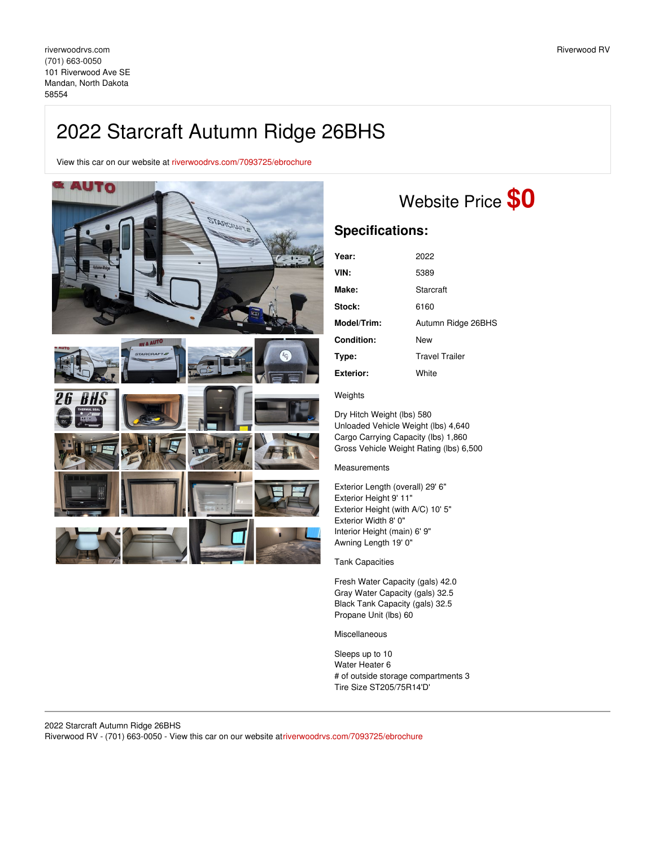## 2022 Starcraft Autumn Ridge 26BHS

View this car on our website at [riverwoodrvs.com/7093725/ebrochure](https://riverwoodrvs.com/vehicle/7093725/2022-starcraft-autumn-ridge-26bhs-mandan-north-dakota-58554/7093725/ebrochure)



## Website Price **\$0**

## **Specifications:**

| Year:             | 2022                  |
|-------------------|-----------------------|
| VIN:              | 5389                  |
| Make:             | Starcraft             |
| <b>Stock:</b>     | 6160                  |
| Model/Trim:       | Autumn Ridge 26BHS    |
| <b>Condition:</b> | New                   |
| Type:             | <b>Travel Trailer</b> |
| Exterior:         | White                 |

## **Weights**

Dry Hitch Weight (lbs) 580 Unloaded Vehicle Weight (lbs) 4,640 Cargo Carrying Capacity (lbs) 1,860 Gross Vehicle Weight Rating (lbs) 6,500

Measurements

Exterior Length (overall) 29' 6" Exterior Height 9' 11" Exterior Height (with A/C) 10' 5" Exterior Width 8' 0" Interior Height (main) 6' 9" Awning Length 19' 0"

Tank Capacities

Fresh Water Capacity (gals) 42.0 Gray Water Capacity (gals) 32.5 Black Tank Capacity (gals) 32.5 Propane Unit (lbs) 60

Miscellaneous

Sleeps up to 10 Water Heater 6 # of outside storage compartments 3 Tire Size ST205/75R14'D'